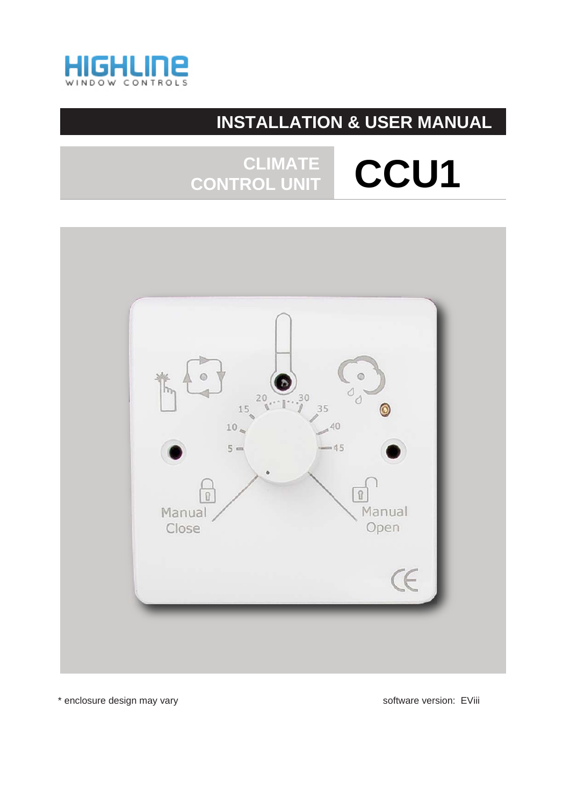

## **INSTALLATION & USER MANUAL**

## CLIMATE CCU1 CONTROL UNIT



\* enclosure design may vary

software version: EViii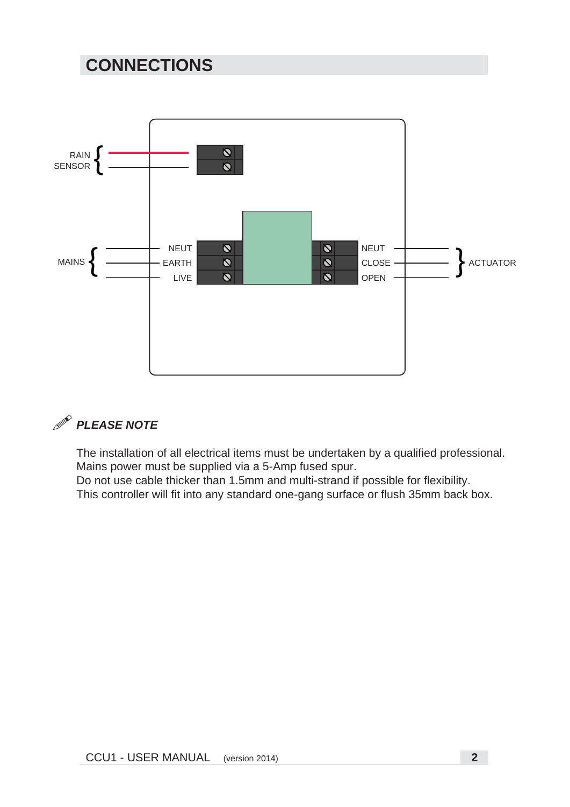## **CONNECTIONS**





The installation of all electrical items must be undertaken by a qualified professional. Mains power must be supplied via a 5-Amp fused spur.

Do not use cable thicker than 1.5mm and multi-strand if possible for flexibility. This controller will fit into any standard one-gang surface or flush 35mm back box.